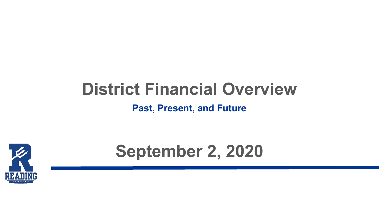# **District Financial Overview**

**Past, Present, and Future**



# **September 2, 2020**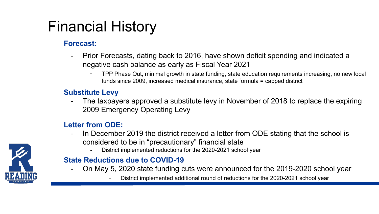## Financial History

#### **Forecast:**

- Prior Forecasts, dating back to 2016, have shown deficit spending and indicated a negative cash balance as early as Fiscal Year 2021
	- TPP Phase Out, minimal growth in state funding, state education requirements increasing, no new local funds since 2009, increased medical insurance, state formula = capped district

#### **Substitute Levy**

The taxpayers approved a substitute levy in November of 2018 to replace the expiring 2009 Emergency Operating Levy

#### **Letter from ODE:**

- In December 2019 the district received a letter from ODE stating that the school is considered to be in "precautionary" financial state
	- District implemented reductions for the 2020-2021 school year

#### **State Reductions due to COVID-19**

- On May 5, 2020 state funding cuts were announced for the 2019-2020 school year
	- District implemented additional round of reductions for the 2020-2021 school year

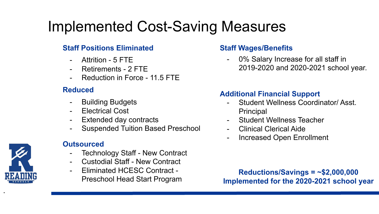# Implemented Cost-Saving Measures

#### **Staff Positions Eliminated**

- Attrition 5 FTE
- Retirements 2 FTE
- Reduction in Force 11.5 FTE

#### **Reduced**

- Building Budgets
- Electrical Cost
- Extended day contracts
- Suspended Tuition Based Preschool

#### **Outsourced**

- Technology Staff New Contract
- Custodial Staff New Contract
- Eliminated HCESC Contract Preschool Head Start Program

#### **Staff Wages/Benefits**

0% Salary Increase for all staff in 2019-2020 and 2020-2021 school year.

#### **Additional Financial Support**

- Student Wellness Coordinator/ Asst. Principal
- Student Wellness Teacher
- Clinical Clerical Aide
- Increased Open Enrollment

**Reductions/Savings = ~\$2,000,000 Implemented for the 2020-2021 school year**



•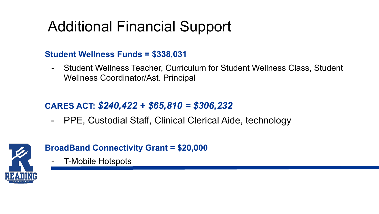# Additional Financial Support

#### **Student Wellness Funds = \$338,031**

- Student Wellness Teacher, Curriculum for Student Wellness Class, Student Wellness Coordinator/Ast. Principal

#### **CARES ACT:** *\$240,422 + \$65,810 = \$306,232*

- PPE, Custodial Staff, Clinical Clerical Aide, technology



#### **BroadBand Connectivity Grant = \$20,000**

- T-Mobile Hotspots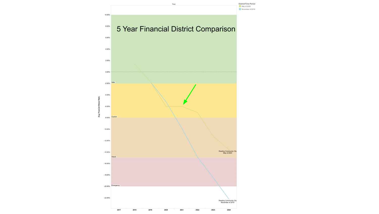